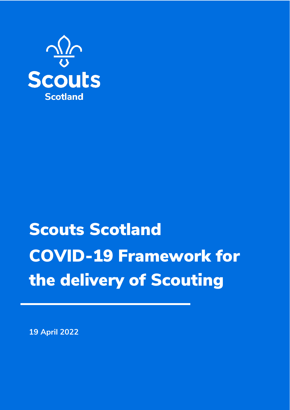

## Scouts Scotland COVID-19 Framework for the delivery of Scouting

**19 April 2022**